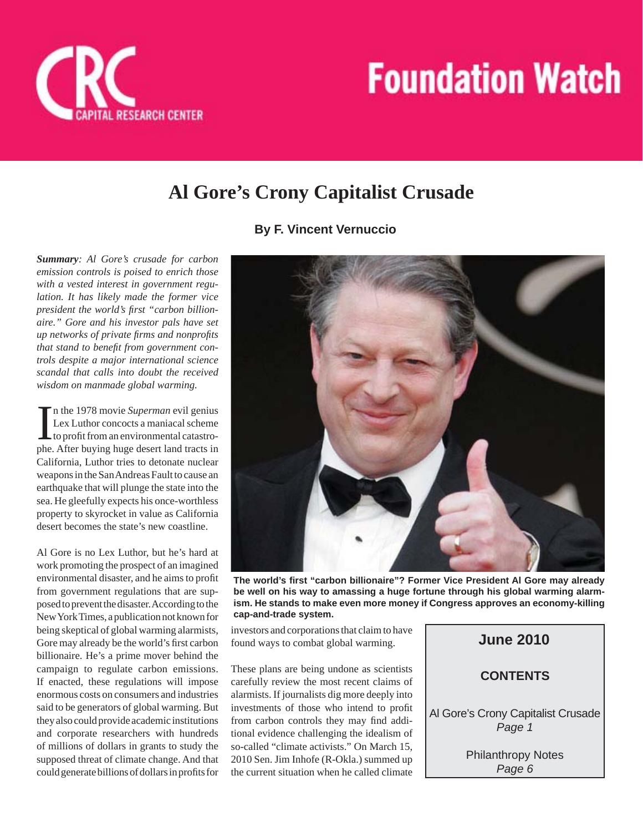

## **Al Gore's Crony Capitalist Crusade**

## **By F. Vincent Vernuccio**

*Summary: Al Gore's crusade for carbon emission controls is poised to enrich those with a vested interest in government regulation. It has likely made the former vice*  president the world's first "carbon billion*aire." Gore and his investor pals have set up networks of private firms and nonprofits that stand to benefit from government controls despite a major international science scandal that calls into doubt the received wisdom on manmade global warming.*

In the 1978 movie *Superman* evil genius<br>Lex Luthor concocts a maniacal scheme<br>to profit from an environmental catastro-<br>phe. After buying huge desert land tracts in n the 1978 movie *Superman* evil genius Lex Luthor concocts a maniacal scheme to profit from an environmental catastro-California, Luthor tries to detonate nuclear weapons in the San Andreas Fault to cause an earthquake that will plunge the state into the sea. He gleefully expects his once-worthless property to skyrocket in value as California desert becomes the state's new coastline.

Al Gore is no Lex Luthor, but he's hard at work promoting the prospect of an imagined environmental disaster, and he aims to profit from government regulations that are supposed to prevent the disaster. According to the New York Times, a publication not known for being skeptical of global warming alarmists, Gore may already be the world's first carbon billionaire. He's a prime mover behind the campaign to regulate carbon emissions. If enacted, these regulations will impose enormous costs on consumers and industries said to be generators of global warming. But they also could provide academic institutions and corporate researchers with hundreds of millions of dollars in grants to study the supposed threat of climate change. And that could generate billions of dollars in profits for



**The world's fi rst "carbon billionaire"? Former Vice President Al Gore may already be well on his way to amassing a huge fortune through his global warming alarmism. He stands to make even more money if Congress approves an economy-killing cap-and-trade system.**

investors and corporations that claim to have found ways to combat global warming.

These plans are being undone as scientists carefully review the most recent claims of alarmists. If journalists dig more deeply into investments of those who intend to profit from carbon controls they may find additional evidence challenging the idealism of so-called "climate activists." On March 15, 2010 Sen. Jim Inhofe (R-Okla.) summed up the current situation when he called climate

**CONTENTS June 2010** Al Gore's Crony Capitalist Crusade *Page 1* Philanthropy Notes

*Page 6*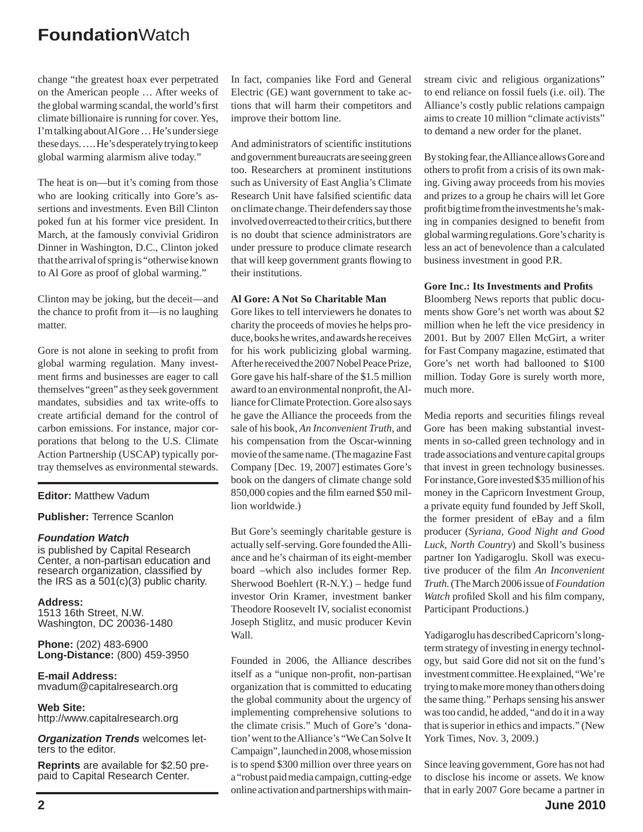change "the greatest hoax ever perpetrated on the American people … After weeks of the global warming scandal, the world's first climate billionaire is running for cover. Yes, I'm talking about Al Gore … He's under siege these days. …. He's desperately trying to keep global warming alarmism alive today."

The heat is on—but it's coming from those who are looking critically into Gore's assertions and investments. Even Bill Clinton poked fun at his former vice president. In March, at the famously convivial Gridiron Dinner in Washington, D.C., Clinton joked that the arrival of spring is "otherwise known to Al Gore as proof of global warming."

Clinton may be joking, but the deceit—and the chance to profit from it—is no laughing matter.

Gore is not alone in seeking to profit from global warming regulation. Many investment firms and businesses are eager to call themselves "green" as they seek government mandates, subsidies and tax write-offs to create artificial demand for the control of carbon emissions. For instance, major corporations that belong to the U.S. Climate Action Partnership (USCAP) typically portray themselves as environmental stewards.

#### **Editor:** Matthew Vadum

#### **Publisher:** Terrence Scanlon

#### *Foundation Watch*

is published by Capital Research Center, a non-partisan education and research organization, classified by the IRS as a  $501(c)(3)$  public charity.

**Address:** 1513 16th Street, N.W. Washington, DC 20036-1480

**Phone:** (202) 483-6900 **Long-Distance:** (800) 459-3950

**E-mail Address:** mvadum@capitalresearch.org

**Web Site:** http://www.capitalresearch.org

*Organization Trends* welcomes letters to the editor.

**Reprints** are available for \$2.50 prepaid to Capital Research Center.

In fact, companies like Ford and General Electric (GE) want government to take actions that will harm their competitors and improve their bottom line.

And administrators of scientific institutions and government bureaucrats are seeing green too. Researchers at prominent institutions such as University of East Anglia's Climate Research Unit have falsified scientific data on climate change. Their defenders say those involved overreacted to their critics, but there is no doubt that science administrators are under pressure to produce climate research that will keep government grants flowing to their institutions.

## **Al Gore: A Not So Charitable Man**

Gore likes to tell interviewers he donates to charity the proceeds of movies he helps produce, books he writes, and awards he receives for his work publicizing global warming. After he received the 2007 Nobel Peace Prize, Gore gave his half-share of the \$1.5 million award to an environmental nonprofit, the Alliance for Climate Protection. Gore also says he gave the Alliance the proceeds from the sale of his book, *An Inconvenient Truth*, and his compensation from the Oscar-winning movie of the same name. (The magazine Fast Company [Dec*.* 19, 2007] estimates Gore's book on the dangers of climate change sold 850,000 copies and the film earned \$50 million worldwide.)

But Gore's seemingly charitable gesture is actually self-serving. Gore founded the Alliance and he's chairman of its eight-member board –which also includes former Rep. Sherwood Boehlert (R-N.Y.) – hedge fund investor Orin Kramer, investment banker Theodore Roosevelt IV, socialist economist Joseph Stiglitz, and music producer Kevin Wall.

Founded in 2006, the Alliance describes itself as a "unique non-profit, non-partisan organization that is committed to educating the global community about the urgency of implementing comprehensive solutions to the climate crisis." Much of Gore's 'donation' went to the Alliance's "We Can Solve It Campaign", launched in 2008, whose mission is to spend \$300 million over three years on a "robust paid media campaign, cutting-edge online activation and partnerships with mainstream civic and religious organizations" to end reliance on fossil fuels (i.e. oil). The Alliance's costly public relations campaign aims to create 10 million "climate activists" to demand a new order for the planet.

By stoking fear, the Alliance allows Gore and others to profit from a crisis of its own making. Giving away proceeds from his movies and prizes to a group he chairs will let Gore profit big time from the investments he's making in companies designed to benefit from global warming regulations. Gore's charity is less an act of benevolence than a calculated business investment in good P.R.

## Gore Inc.: Its Investments and Profits

Bloomberg News reports that public documents show Gore's net worth was about \$2 million when he left the vice presidency in 2001. But by 2007 Ellen McGirt, a writer for Fast Company magazine, estimated that Gore's net worth had ballooned to \$100 million. Today Gore is surely worth more, much more.

Media reports and securities filings reveal Gore has been making substantial investments in so-called green technology and in trade associations and venture capital groups that invest in green technology businesses. For instance, Gore invested \$35 million of his money in the Capricorn Investment Group, a private equity fund founded by Jeff Skoll, the former president of eBay and a film producer (*Syriana, Good Night and Good Luck, North Country*) and Skoll's business partner Ion Yadigaroglu. Skoll was executive producer of the film *An Inconvenient Truth.* (The March 2006 issue of *Foundation Watch* profiled Skoll and his film company, Participant Productions.)

Yadigaroglu has described Capricorn's longterm strategy of investing in energy technology, but said Gore did not sit on the fund's investment committee. He explained, "We're trying to make more money than others doing the same thing." Perhaps sensing his answer was too candid, he added, "and do it in a way that is superior in ethics and impacts." (New York Times, Nov. 3, 2009.)

Since leaving government, Gore has not had to disclose his income or assets. We know that in early 2007 Gore became a partner in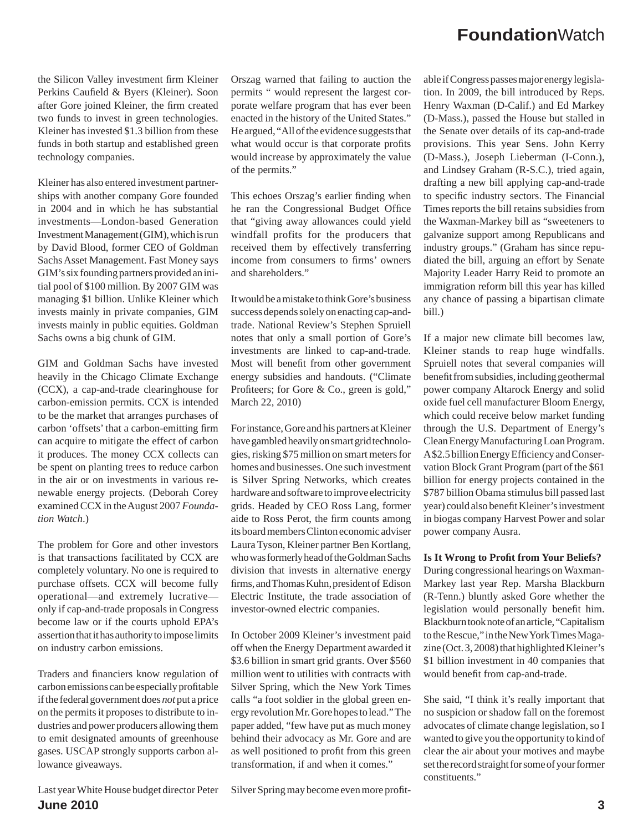the Silicon Valley investment firm Kleiner Perkins Caufield & Byers (Kleiner). Soon after Gore joined Kleiner, the firm created two funds to invest in green technologies. Kleiner has invested \$1.3 billion from these funds in both startup and established green technology companies.

Kleiner has also entered investment partnerships with another company Gore founded in 2004 and in which he has substantial investments—London-based Generation Investment Management (GIM), which is run by David Blood, former CEO of Goldman Sachs Asset Management. Fast Money says GIM's six founding partners provided an initial pool of \$100 million. By 2007 GIM was managing \$1 billion. Unlike Kleiner which invests mainly in private companies, GIM invests mainly in public equities. Goldman Sachs owns a big chunk of GIM.

GIM and Goldman Sachs have invested heavily in the Chicago Climate Exchange (CCX), a cap-and-trade clearinghouse for carbon-emission permits. CCX is intended to be the market that arranges purchases of carbon 'offsets' that a carbon-emitting firm can acquire to mitigate the effect of carbon it produces. The money CCX collects can be spent on planting trees to reduce carbon in the air or on investments in various renewable energy projects. (Deborah Corey examined CCX in the August 2007 *Foundation Watch*.)

The problem for Gore and other investors is that transactions facilitated by CCX are completely voluntary. No one is required to purchase offsets. CCX will become fully operational—and extremely lucrative only if cap-and-trade proposals in Congress become law or if the courts uphold EPA's assertion that it has authority to impose limits on industry carbon emissions.

Traders and financiers know regulation of carbon emissions can be especially profitable if the federal government does *not* put a price on the permits it proposes to distribute to industries and power producers allowing them to emit designated amounts of greenhouse gases. USCAP strongly supports carbon allowance giveaways.

**June 2010 3** Last year White House budget director Peter

Orszag warned that failing to auction the permits " would represent the largest corporate welfare program that has ever been enacted in the history of the United States." He argued, "All of the evidence suggests that what would occur is that corporate profits would increase by approximately the value of the permits."

This echoes Orszag's earlier finding when he ran the Congressional Budget Office that "giving away allowances could yield windfall profits for the producers that received them by effectively transferring income from consumers to firms' owners and shareholders."

It would be a mistake to think Gore's business success depends solely on enacting cap-andtrade. National Review's Stephen Spruiell notes that only a small portion of Gore's investments are linked to cap-and-trade. Most will benefit from other government energy subsidies and handouts. ("Climate Profiteers; for Gore & Co., green is gold," March 22, 2010)

For instance, Gore and his partners at Kleiner have gambled heavily on smart grid technologies, risking \$75 million on smart meters for homes and businesses. One such investment is Silver Spring Networks, which creates hardware and software to improve electricity grids. Headed by CEO Ross Lang, former aide to Ross Perot, the firm counts among its board members Clinton economic adviser Laura Tyson, Kleiner partner Ben Kortlang, who was formerly head of the Goldman Sachs division that invests in alternative energy firms, and Thomas Kuhn, president of Edison Electric Institute, the trade association of investor-owned electric companies.

In October 2009 Kleiner's investment paid off when the Energy Department awarded it \$3.6 billion in smart grid grants. Over \$560 million went to utilities with contracts with Silver Spring, which the New York Times calls "a foot soldier in the global green energy revolution Mr. Gore hopes to lead." The paper added, "few have put as much money behind their advocacy as Mr. Gore and are as well positioned to profit from this green transformation, if and when it comes."

able if Congress passes major energy legislation. In 2009, the bill introduced by Reps. Henry Waxman (D-Calif.) and Ed Markey (D-Mass.), passed the House but stalled in the Senate over details of its cap-and-trade provisions. This year Sens. John Kerry (D-Mass.), Joseph Lieberman (I-Conn.), and Lindsey Graham (R-S.C.), tried again, drafting a new bill applying cap-and-trade to specific industry sectors. The Financial Times reports the bill retains subsidies from the Waxman-Markey bill as "sweeteners to galvanize support among Republicans and industry groups." (Graham has since repudiated the bill, arguing an effort by Senate Majority Leader Harry Reid to promote an immigration reform bill this year has killed any chance of passing a bipartisan climate bill.)

If a major new climate bill becomes law, Kleiner stands to reap huge windfalls. Spruiell notes that several companies will benefit from subsidies, including geothermal power company Altarock Energy and solid oxide fuel cell manufacturer Bloom Energy, which could receive below market funding through the U.S. Department of Energy's Clean Energy Manufacturing Loan Program. A \$2.5 billion Energy Efficiency and Conservation Block Grant Program (part of the \$61 billion for energy projects contained in the \$787 billion Obama stimulus bill passed last year) could also benefit Kleiner's investment in biogas company Harvest Power and solar power company Ausra.

**Is It Wrong to Profit from Your Beliefs?** 

During congressional hearings on Waxman-Markey last year Rep. Marsha Blackburn (R-Tenn.) bluntly asked Gore whether the legislation would personally benefit him. Blackburn took note of an article, "Capitalism to the Rescue," in the New York Times Magazine (Oct. 3, 2008) that highlighted Kleiner's \$1 billion investment in 40 companies that would benefit from cap-and-trade.

She said, "I think it's really important that no suspicion or shadow fall on the foremost advocates of climate change legislation, so I wanted to give you the opportunity to kind of clear the air about your motives and maybe set the record straight for some of your former constituents."

Silver Spring may become even more profit-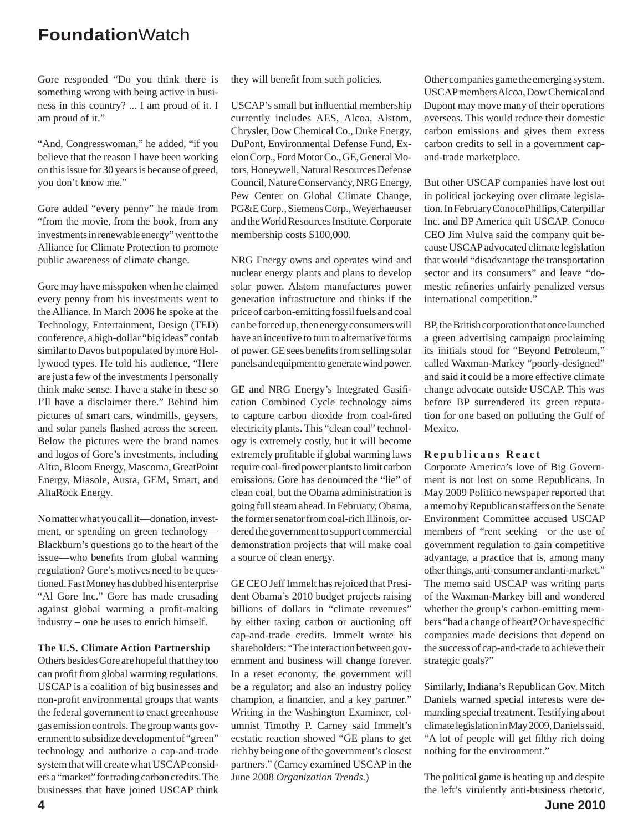Gore responded "Do you think there is something wrong with being active in business in this country? ... I am proud of it. I am proud of it."

"And, Congresswoman," he added, "if you believe that the reason I have been working on this issue for 30 years is because of greed, you don't know me."

Gore added "every penny" he made from "from the movie, from the book, from any investments in renewable energy" went to the Alliance for Climate Protection to promote public awareness of climate change.

Gore may have misspoken when he claimed every penny from his investments went to the Alliance. In March 2006 he spoke at the Technology, Entertainment, Design (TED) conference, a high-dollar "big ideas" confab similar to Davos but populated by more Hollywood types. He told his audience, "Here are just a few of the investments I personally think make sense. I have a stake in these so I'll have a disclaimer there." Behind him pictures of smart cars, windmills, geysers, and solar panels flashed across the screen. Below the pictures were the brand names and logos of Gore's investments, including Altra, Bloom Energy, Mascoma, GreatPoint Energy, Miasole, Ausra, GEM, Smart, and AltaRock Energy.

No matter what you call it—donation, investment, or spending on green technology— Blackburn's questions go to the heart of the issue—who benefits from global warming regulation? Gore's motives need to be questioned. Fast Money has dubbed his enterprise "Al Gore Inc." Gore has made crusading against global warming a profit-making industry – one he uses to enrich himself.

#### **The U.S. Climate Action Partnership**

Others besides Gore are hopeful that they too can profit from global warming regulations. USCAP is a coalition of big businesses and non-profit environmental groups that wants the federal government to enact greenhouse gas emission controls. The group wants government to subsidize development of "green" technology and authorize a cap-and-trade system that will create what USCAP considers a "market" for trading carbon credits. The businesses that have joined USCAP think

they will benefit from such policies.

USCAP's small but influential membership currently includes AES, Alcoa, Alstom, Chrysler, Dow Chemical Co., Duke Energy, DuPont, Environmental Defense Fund, Exelon Corp., Ford Motor Co., GE, General Motors, Honeywell, Natural Resources Defense Council, Nature Conservancy, NRG Energy, Pew Center on Global Climate Change, PG&E Corp., Siemens Corp., Weyerhaeuser and the World Resources Institute. Corporate membership costs \$100,000.

NRG Energy owns and operates wind and nuclear energy plants and plans to develop solar power. Alstom manufactures power generation infrastructure and thinks if the price of carbon-emitting fossil fuels and coal can be forced up, then energy consumers will have an incentive to turn to alternative forms of power. GE sees benefits from selling solar panels and equipment to generate wind power.

GE and NRG Energy's Integrated Gasification Combined Cycle technology aims to capture carbon dioxide from coal-fired electricity plants. This "clean coal" technology is extremely costly, but it will become extremely profitable if global warming laws require coal-fired power plants to limit carbon emissions. Gore has denounced the "lie" of clean coal, but the Obama administration is going full steam ahead. In February, Obama, the former senator from coal-rich Illinois, ordered the government to support commercial demonstration projects that will make coal a source of clean energy.

GE CEO Jeff Immelt has rejoiced that President Obama's 2010 budget projects raising billions of dollars in "climate revenues" by either taxing carbon or auctioning off cap-and-trade credits. Immelt wrote his shareholders: "The interaction between government and business will change forever. In a reset economy, the government will be a regulator; and also an industry policy champion, a financier, and a key partner." Writing in the Washington Examiner, columnist Timothy P. Carney said Immelt's ecstatic reaction showed "GE plans to get rich by being one of the government's closest partners." (Carney examined USCAP in the June 2008 *Organization Trends*.)

Other companies game the emerging system. USCAP members Alcoa, Dow Chemical and Dupont may move many of their operations overseas. This would reduce their domestic carbon emissions and gives them excess carbon credits to sell in a government capand-trade marketplace.

But other USCAP companies have lost out in political jockeying over climate legislation. In February ConocoPhillips, Caterpillar Inc. and BP America quit USCAP. Conoco CEO Jim Mulva said the company quit because USCAP advocated climate legislation that would "disadvantage the transportation sector and its consumers" and leave "domestic refineries unfairly penalized versus international competition."

BP, the British corporation that once launched a green advertising campaign proclaiming its initials stood for "Beyond Petroleum," called Waxman-Markey "poorly-designed" and said it could be a more effective climate change advocate outside USCAP. This was before BP surrendered its green reputation for one based on polluting the Gulf of Mexico.

#### **Republicans React**

Corporate America's love of Big Government is not lost on some Republicans. In May 2009 Politico newspaper reported that a memo by Republican staffers on the Senate Environment Committee accused USCAP members of "rent seeking—or the use of government regulation to gain competitive advantage, a practice that is, among many other things, anti-consumer and anti-market." The memo said USCAP was writing parts of the Waxman-Markey bill and wondered whether the group's carbon-emitting members "had a change of heart? Or have specific companies made decisions that depend on the success of cap-and-trade to achieve their strategic goals?"

Similarly, Indiana's Republican Gov. Mitch Daniels warned special interests were demanding special treatment. Testifying about climate legislation in May 2009, Daniels said, "A lot of people will get filthy rich doing nothing for the environment."

The political game is heating up and despite the left's virulently anti-business rhetoric,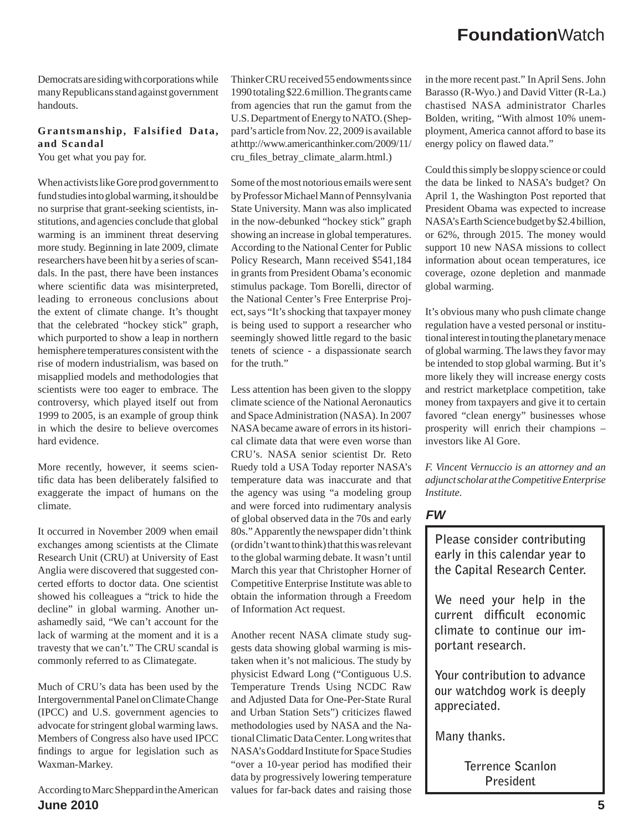Democrats are siding with corporations while many Republicans stand against government handouts.

### **Grantsmanship, Falsified Data, and Scandal**

You get what you pay for.

When activists like Gore prod government to fund studies into global warming, it should be no surprise that grant-seeking scientists, institutions, and agencies conclude that global warming is an imminent threat deserving more study. Beginning in late 2009, climate researchers have been hit by a series of scandals. In the past, there have been instances where scientific data was misinterpreted, leading to erroneous conclusions about the extent of climate change. It's thought that the celebrated "hockey stick" graph, which purported to show a leap in northern hemisphere temperatures consistent with the rise of modern industrialism, was based on misapplied models and methodologies that scientists were too eager to embrace. The controversy, which played itself out from 1999 to 2005, is an example of group think in which the desire to believe overcomes hard evidence.

More recently, however, it seems scientific data has been deliberately falsified to exaggerate the impact of humans on the climate.

It occurred in November 2009 when email exchanges among scientists at the Climate Research Unit (CRU) at University of East Anglia were discovered that suggested concerted efforts to doctor data. One scientist showed his colleagues a "trick to hide the decline" in global warming. Another unashamedly said, "We can't account for the lack of warming at the moment and it is a travesty that we can't." The CRU scandal is commonly referred to as Climategate.

Much of CRU's data has been used by the Intergovernmental Panel on Climate Change (IPCC) and U.S. government agencies to advocate for stringent global warming laws. Members of Congress also have used IPCC findings to argue for legislation such as Waxman-Markey.

**June 2010 5** According to Marc Sheppard in the American

Thinker CRU received 55 endowments since 1990 totaling \$22.6 million. The grants came from agencies that run the gamut from the U.S. Department of Energy to NATO. (Sheppard's article from Nov. 22, 2009 is available at http://www.americanthinker.com/2009/11/ cru\_fi les\_betray\_climate\_alarm.html.)

Some of the most notorious emails were sent by Professor Michael Mann of Pennsylvania State University. Mann was also implicated in the now-debunked "hockey stick" graph showing an increase in global temperatures. According to the National Center for Public Policy Research, Mann received \$541,184 in grants from President Obama's economic stimulus package. Tom Borelli, director of the National Center's Free Enterprise Project, says "It's shocking that taxpayer money is being used to support a researcher who seemingly showed little regard to the basic tenets of science - a dispassionate search for the truth."

Less attention has been given to the sloppy climate science of the National Aeronautics and Space Administration (NASA). In 2007 NASA became aware of errors in its historical climate data that were even worse than CRU's. NASA senior scientist Dr. Reto Ruedy told a USA Today reporter NASA's temperature data was inaccurate and that the agency was using "a modeling group and were forced into rudimentary analysis of global observed data in the 70s and early 80s." Apparently the newspaper didn't think (or didn't want to think) that this was relevant to the global warming debate. It wasn't until March this year that Christopher Horner of Competitive Enterprise Institute was able to obtain the information through a Freedom of Information Act request.

Another recent NASA climate study suggests data showing global warming is mistaken when it's not malicious. The study by physicist Edward Long ("Contiguous U.S. Temperature Trends Using NCDC Raw and Adjusted Data for One-Per-State Rural and Urban Station Sets") criticizes flawed methodologies used by NASA and the National Climatic Data Center. Long writes that NASA's Goddard Institute for Space Studies "over a 10-year period has modified their data by progressively lowering temperature values for far-back dates and raising those

in the more recent past." In April Sens. John Barasso (R-Wyo.) and David Vitter (R-La.) chastised NASA administrator Charles Bolden, writing, "With almost 10% unemployment, America cannot afford to base its energy policy on flawed data."

Could this simply be sloppy science or could the data be linked to NASA's budget? On April 1, the Washington Post reported that President Obama was expected to increase NASA's Earth Science budget by \$2.4 billion, or 62%, through 2015. The money would support 10 new NASA missions to collect information about ocean temperatures, ice coverage, ozone depletion and manmade global warming.

It's obvious many who push climate change regulation have a vested personal or institutional interest in touting the planetary menace of global warming. The laws they favor may be intended to stop global warming. But it's more likely they will increase energy costs and restrict marketplace competition, take money from taxpayers and give it to certain favored "clean energy" businesses whose prosperity will enrich their champions – investors like Al Gore.

*F. Vincent Vernuccio is an attorney and an adjunct scholar at the Competitive Enterprise Institute.* 

## *FW*

**Please consider contributing early in this calendar year to the Capital Research Center.**

**We need your help in the**  current difficult economic **climate to continue our important research.** 

**Your contribution to advance our watchdog work is deeply appreciated.** 

**Many thanks.** 

**Terrence Scanlon President**